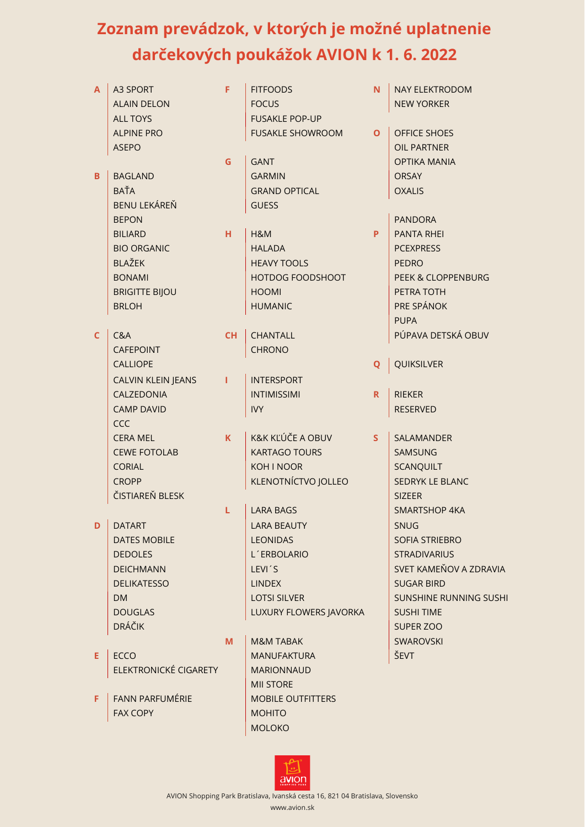## **Zoznam prevádzok, v ktorých je možné uplatnenie darčekových poukážok AVION k 1. 6. 2022**

| A            | A3 SPORT<br><b>ALAIN DELON</b> | F         | <b>FITFOODS</b><br><b>FOCUS</b> | N.           | <b>NAY ELEKTRODOM</b><br><b>NEW YORKER</b> |
|--------------|--------------------------------|-----------|---------------------------------|--------------|--------------------------------------------|
|              | <b>ALL TOYS</b>                |           | <b>FUSAKLE POP-UP</b>           |              |                                            |
|              | <b>ALPINE PRO</b>              |           | <b>FUSAKLE SHOWROOM</b>         | $\mathbf{O}$ | <b>OFFICE SHOES</b>                        |
|              | <b>ASEPO</b>                   |           |                                 |              | <b>OIL PARTNER</b>                         |
|              |                                | G         | <b>GANT</b>                     |              | <b>OPTIKA MANIA</b>                        |
| B            | <b>BAGLAND</b>                 |           | <b>GARMIN</b>                   |              | <b>ORSAY</b>                               |
|              | <b>BAŤA</b>                    |           | <b>GRAND OPTICAL</b>            |              | <b>OXALIS</b>                              |
|              | <b>BENU LEKÁREŇ</b>            |           | <b>GUESS</b>                    |              |                                            |
|              | <b>BEPON</b>                   |           |                                 |              | <b>PANDORA</b>                             |
|              | <b>BILIARD</b>                 | H.        | H&M                             | P            | <b>PANTA RHEI</b>                          |
|              | <b>BIO ORGANIC</b>             |           | <b>HALADA</b>                   |              | <b>PCEXPRESS</b>                           |
|              | <b>BLAŽEK</b>                  |           | <b>HEAVY TOOLS</b>              |              | <b>PEDRO</b>                               |
|              | <b>BONAMI</b>                  |           | HOTDOG FOODSHOOT                |              | <b>PEEK &amp; CLOPPENBURG</b>              |
|              | <b>BRIGITTE BIJOU</b>          |           | <b>HOOMI</b>                    |              | PETRA TOTH                                 |
|              | <b>BRLOH</b>                   |           | <b>HUMANIC</b>                  |              | PRE SPÁNOK                                 |
|              |                                |           |                                 |              | <b>PUPA</b>                                |
| $\mathsf{C}$ | C&A                            | <b>CH</b> | <b>CHANTALL</b>                 |              | PÚPAVA DETSKÁ OBUV                         |
|              | <b>CAFEPOINT</b>               |           | <b>CHRONO</b>                   |              |                                            |
|              | <b>CALLIOPE</b>                |           |                                 | Q            | QUIKSILVER                                 |
|              | <b>CALVIN KLEIN JEANS</b>      | т         | <b>INTERSPORT</b>               |              |                                            |
|              | CALZEDONIA                     |           | <b>INTIMISSIMI</b>              | R.           | <b>RIEKER</b>                              |
|              | <b>CAMP DAVID</b>              |           | <b>IVY</b>                      |              | <b>RESERVED</b>                            |
|              | <b>CCC</b>                     |           |                                 |              |                                            |
|              | <b>CERA MEL</b>                | K.        | K&K KĽÚČE A OBUV                | S            | SALAMANDER                                 |
|              | <b>CEWE FOTOLAB</b>            |           | <b>KARTAGO TOURS</b>            |              | <b>SAMSUNG</b>                             |
|              | <b>CORIAL</b>                  |           | <b>KOH I NOOR</b>               |              | <b>SCANQUILT</b>                           |
|              | <b>CROPP</b>                   |           | KLENOTNÍCTVO JOLLEO             |              | <b>SEDRYK LE BLANC</b>                     |
|              | ČISTIAREŇ BLESK                |           |                                 |              | <b>SIZEER</b>                              |
|              |                                | L         | <b>LARA BAGS</b>                |              | <b>SMARTSHOP 4KA</b>                       |
| D            | <b>DATART</b>                  |           | LARA BEAUTY                     |              | <b>SNUG</b>                                |
|              | <b>DATES MOBILE</b>            |           | <b>LEONIDAS</b>                 |              | SOFIA STRIEBRO                             |
|              | <b>DEDOLES</b>                 |           | L'ERBOLARIO                     |              | <b>STRADIVARIUS</b>                        |
|              | <b>DEICHMANN</b>               |           | LEVI'S                          |              | SVET KAMEŇOV A ZDRAVIA                     |
|              | <b>DELIKATESSO</b>             |           | <b>LINDEX</b>                   |              | <b>SUGAR BIRD</b>                          |
|              | DM.                            |           | <b>LOTSI SILVER</b>             |              | <b>SUNSHINE RUNNING SUSHI</b>              |
|              | <b>DOUGLAS</b>                 |           | LUXURY FLOWERS JAVORKA          |              | <b>SUSHI TIME</b>                          |
|              | <b>DRÁČIK</b>                  |           |                                 |              | SUPER ZOO                                  |
|              |                                | M         | <b>M&amp;M TABAK</b>            |              | <b>SWAROVSKI</b>                           |
| E.           | <b>ECCO</b>                    |           | <b>MANUFAKTURA</b>              |              | ŠEVT                                       |
|              | ELEKTRONICKÉ CIGARETY          |           | <b>MARIONNAUD</b>               |              |                                            |
|              |                                |           | <b>MII STORE</b>                |              |                                            |
| F            | <b>FANN PARFUMÉRIE</b>         |           | <b>MOBILE OUTFITTERS</b>        |              |                                            |
|              | <b>FAX COPY</b>                |           | <b>MOHITO</b>                   |              |                                            |
|              |                                |           | <b>MOLOKO</b>                   |              |                                            |